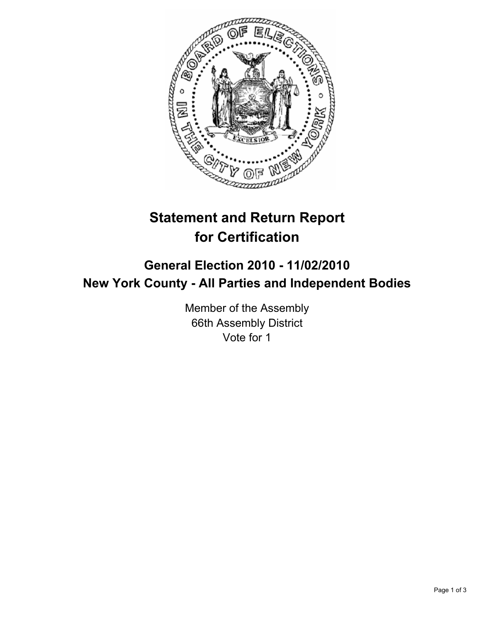

## **Statement and Return Report for Certification**

## **General Election 2010 - 11/02/2010 New York County - All Parties and Independent Bodies**

Member of the Assembly 66th Assembly District Vote for 1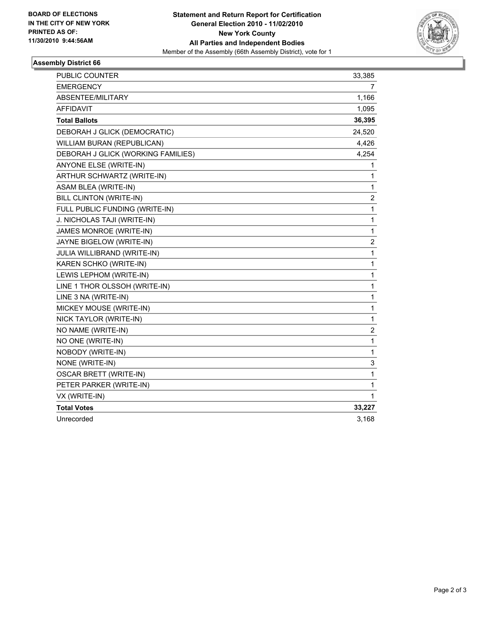

## **Assembly District 66**

| PUBLIC COUNTER                     | 33,385         |
|------------------------------------|----------------|
| <b>EMERGENCY</b>                   | 7              |
| ABSENTEE/MILITARY                  | 1,166          |
| AFFIDAVIT                          | 1,095          |
| <b>Total Ballots</b>               | 36,395         |
| DEBORAH J GLICK (DEMOCRATIC)       | 24,520         |
| WILLIAM BURAN (REPUBLICAN)         | 4,426          |
| DEBORAH J GLICK (WORKING FAMILIES) | 4,254          |
| ANYONE ELSE (WRITE-IN)             | 1              |
| ARTHUR SCHWARTZ (WRITE-IN)         | 1              |
| ASAM BLEA (WRITE-IN)               | 1              |
| BILL CLINTON (WRITE-IN)            | $\overline{c}$ |
| FULL PUBLIC FUNDING (WRITE-IN)     | 1              |
| J. NICHOLAS TAJI (WRITE-IN)        | 1              |
| JAMES MONROE (WRITE-IN)            | $\mathbf{1}$   |
| JAYNE BIGELOW (WRITE-IN)           | $\overline{c}$ |
| JULIA WILLIBRAND (WRITE-IN)        | 1              |
| KAREN SCHKO (WRITE-IN)             | 1              |
| LEWIS LEPHOM (WRITE-IN)            | 1              |
| LINE 1 THOR OLSSOH (WRITE-IN)      | 1              |
| LINE 3 NA (WRITE-IN)               | 1              |
| MICKEY MOUSE (WRITE-IN)            | 1              |
| NICK TAYLOR (WRITE-IN)             | 1              |
| NO NAME (WRITE-IN)                 | 2              |
| NO ONE (WRITE-IN)                  | 1              |
| NOBODY (WRITE-IN)                  | 1              |
| NONE (WRITE-IN)                    | 3              |
| <b>OSCAR BRETT (WRITE-IN)</b>      | 1              |
| PETER PARKER (WRITE-IN)            | $\mathbf{1}$   |
| VX (WRITE-IN)                      | 1              |
| <b>Total Votes</b>                 | 33,227         |
| Unrecorded                         | 3,168          |